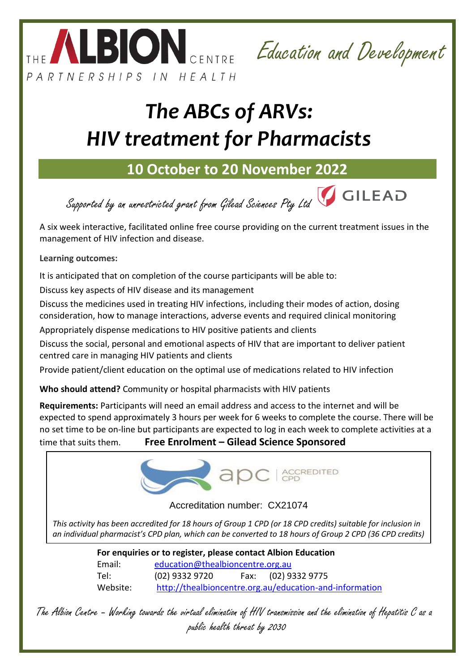



# *The ABCs of ARVs: HIV treatment for Pharmacists*

## **10 October to 20 November 2022**

Supported by an unrestricted grant from Gilead Sciences Pty Ltd **GILEAD** 

A six week interactive, facilitated online free course providing on the current treatment issues in the management of HIV infection and disease.

**Learning outcomes:** 

It is anticipated that on completion of the course participants will be able to:

Discuss key aspects of HIV disease and its management

Discuss the medicines used in treating HIV infections, including their modes of action, dosing consideration, how to manage interactions, adverse events and required clinical monitoring

Appropriately dispense medications to HIV positive patients and clients

Discuss the social, personal and emotional aspects of HIV that are important to deliver patient centred care in managing HIV patients and clients

Provide patient/client education on the optimal use of medications related to HIV infection

**Who should attend?** Community or hospital pharmacists with HIV patients

**Requirements:** Participants will need an email address and access to the internet and will be expected to spend approximately 3 hours per week for 6 weeks to complete the course. There will be no set time to be on-line but participants are expected to log in each week to complete activities at a time that suits them. **Free Enrolment – Gilead Science Sponsored**



Accreditation number: CX21074

*This activity has been accredited for 18 hours of Group 1 CPD (or 18 CPD credits) suitable for inclusion in an individual pharmacist's CPD plan, which can be converted to 18 hours of Group 2 CPD (36 CPD credits)* 

**For enquiries or to register, please contact Albion Education** Email: [education@thealbioncentre.org.au](mailto:education@thealbioncentre.org.au) Tel: (02) 9332 9720 Fax: (02) 9332 9775 Website: <http://thealbioncentre.org.au/education-and-information> *upon successful completion of relevant assessment activities.*

The Albion Centre – Working towards the virtual elimination of HIV transmission and the elimination of Hepatitis C as a public health threat by 2030